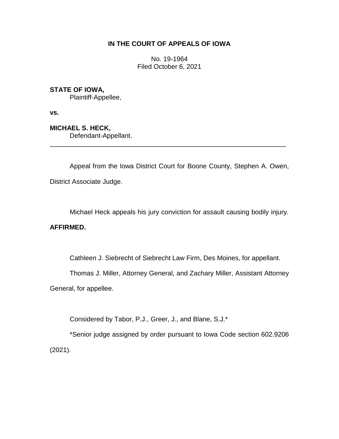# **IN THE COURT OF APPEALS OF IOWA**

No. 19-1964 Filed October 6, 2021

**STATE OF IOWA,**

Plaintiff-Appellee,

**vs.**

**MICHAEL S. HECK,** Defendant-Appellant.

Appeal from the Iowa District Court for Boone County, Stephen A. Owen, District Associate Judge.

\_\_\_\_\_\_\_\_\_\_\_\_\_\_\_\_\_\_\_\_\_\_\_\_\_\_\_\_\_\_\_\_\_\_\_\_\_\_\_\_\_\_\_\_\_\_\_\_\_\_\_\_\_\_\_\_\_\_\_\_\_\_\_\_

Michael Heck appeals his jury conviction for assault causing bodily injury.

## **AFFIRMED.**

Cathleen J. Siebrecht of Siebrecht Law Firm, Des Moines, for appellant.

Thomas J. Miller, Attorney General, and Zachary Miller, Assistant Attorney

General, for appellee.

Considered by Tabor, P.J., Greer, J., and Blane, S.J.\*

\*Senior judge assigned by order pursuant to Iowa Code section 602.9206 (2021).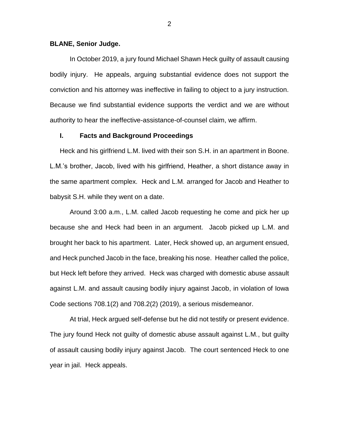#### **BLANE, Senior Judge.**

In October 2019, a jury found Michael Shawn Heck guilty of assault causing bodily injury. He appeals, arguing substantial evidence does not support the conviction and his attorney was ineffective in failing to object to a jury instruction. Because we find substantial evidence supports the verdict and we are without authority to hear the ineffective-assistance-of-counsel claim, we affirm.

## **I. Facts and Background Proceedings**

Heck and his girlfriend L.M. lived with their son S.H. in an apartment in Boone. L.M.'s brother, Jacob, lived with his girlfriend, Heather, a short distance away in the same apartment complex. Heck and L.M. arranged for Jacob and Heather to babysit S.H. while they went on a date.

Around 3:00 a.m., L.M. called Jacob requesting he come and pick her up because she and Heck had been in an argument. Jacob picked up L.M. and brought her back to his apartment. Later, Heck showed up, an argument ensued, and Heck punched Jacob in the face, breaking his nose. Heather called the police, but Heck left before they arrived. Heck was charged with domestic abuse assault against L.M. and assault causing bodily injury against Jacob, in violation of Iowa Code sections 708.1(2) and 708.2(2) (2019), a serious misdemeanor.

At trial, Heck argued self-defense but he did not testify or present evidence. The jury found Heck not guilty of domestic abuse assault against L.M., but guilty of assault causing bodily injury against Jacob. The court sentenced Heck to one year in jail. Heck appeals.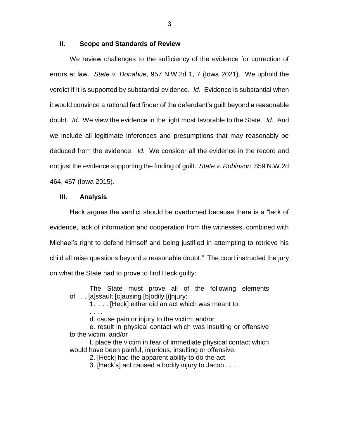#### **II. Scope and Standards of Review**

We review challenges to the sufficiency of the evidence for correction of errors at law. *State v. Donahue*, 957 N.W.2d 1, 7 (Iowa 2021). We uphold the verdict if it is supported by substantial evidence. *Id*. Evidence is substantial when it would convince a rational fact finder of the defendant's guilt beyond a reasonable doubt. *Id*. We view the evidence in the light most favorable to the State. *Id*. And we include all legitimate inferences and presumptions that may reasonably be deduced from the evidence. *Id.* We consider all the evidence in the record and not just the evidence supporting the finding of guilt. *State v. Robinson*, 859 N.W.2d 464, 467 (Iowa 2015).

#### **III. Analysis**

Heck argues the verdict should be overturned because there is a "lack of evidence, lack of information and cooperation from the witnesses, combined with Michael's right to defend himself and being justified in attempting to retrieve his child all raise questions beyond a reasonable doubt." The court instructed the jury on what the State had to prove to find Heck guilty:

The State must prove all of the following elements of . . . [a]ssault [c]ausing [b]odily [i]njury:

1. . . . [Heck] either did an act which was meant to:

. . . . d. cause pain or injury to the victim; and/or

e. result in physical contact which was insulting or offensive to the victim; and/or

f. place the victim in fear of immediate physical contact which would have been painful, injurious, insulting or offensive.

2. [Heck] had the apparent ability to do the act.

3. [Heck's] act caused a bodily injury to Jacob . . . .

3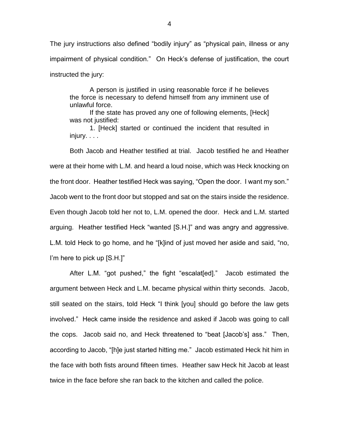The jury instructions also defined "bodily injury" as "physical pain, illness or any impairment of physical condition." On Heck's defense of justification, the court instructed the jury:

A person is justified in using reasonable force if he believes the force is necessary to defend himself from any imminent use of unlawful force.

If the state has proved any one of following elements, [Heck] was not justified:

1. [Heck] started or continued the incident that resulted in injury. . . .

Both Jacob and Heather testified at trial. Jacob testified he and Heather were at their home with L.M. and heard a loud noise, which was Heck knocking on the front door. Heather testified Heck was saying, "Open the door. I want my son." Jacob went to the front door but stopped and sat on the stairs inside the residence. Even though Jacob told her not to, L.M. opened the door. Heck and L.M. started arguing. Heather testified Heck "wanted [S.H.]" and was angry and aggressive. L.M. told Heck to go home, and he "[k]ind of just moved her aside and said, "no, I'm here to pick up [S.H.]"

After L.M. "got pushed," the fight "escalat[ed]." Jacob estimated the argument between Heck and L.M. became physical within thirty seconds. Jacob, still seated on the stairs, told Heck "I think [you] should go before the law gets involved." Heck came inside the residence and asked if Jacob was going to call the cops. Jacob said no, and Heck threatened to "beat [Jacob's] ass." Then, according to Jacob, "[h]e just started hitting me." Jacob estimated Heck hit him in the face with both fists around fifteen times. Heather saw Heck hit Jacob at least twice in the face before she ran back to the kitchen and called the police.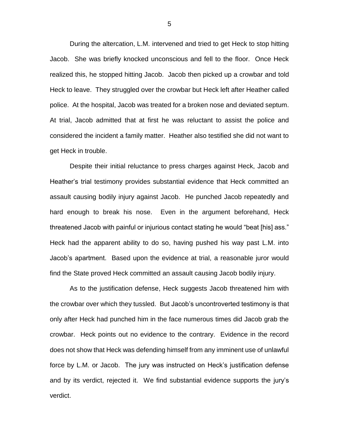During the altercation, L.M. intervened and tried to get Heck to stop hitting Jacob. She was briefly knocked unconscious and fell to the floor. Once Heck realized this, he stopped hitting Jacob. Jacob then picked up a crowbar and told Heck to leave. They struggled over the crowbar but Heck left after Heather called police. At the hospital, Jacob was treated for a broken nose and deviated septum. At trial, Jacob admitted that at first he was reluctant to assist the police and considered the incident a family matter. Heather also testified she did not want to get Heck in trouble.

Despite their initial reluctance to press charges against Heck, Jacob and Heather's trial testimony provides substantial evidence that Heck committed an assault causing bodily injury against Jacob. He punched Jacob repeatedly and hard enough to break his nose. Even in the argument beforehand, Heck threatened Jacob with painful or injurious contact stating he would "beat [his] ass." Heck had the apparent ability to do so, having pushed his way past L.M. into Jacob's apartment. Based upon the evidence at trial, a reasonable juror would find the State proved Heck committed an assault causing Jacob bodily injury.

As to the justification defense, Heck suggests Jacob threatened him with the crowbar over which they tussled. But Jacob's uncontroverted testimony is that only after Heck had punched him in the face numerous times did Jacob grab the crowbar. Heck points out no evidence to the contrary. Evidence in the record does not show that Heck was defending himself from any imminent use of unlawful force by L.M. or Jacob. The jury was instructed on Heck's justification defense and by its verdict, rejected it. We find substantial evidence supports the jury's verdict.

5